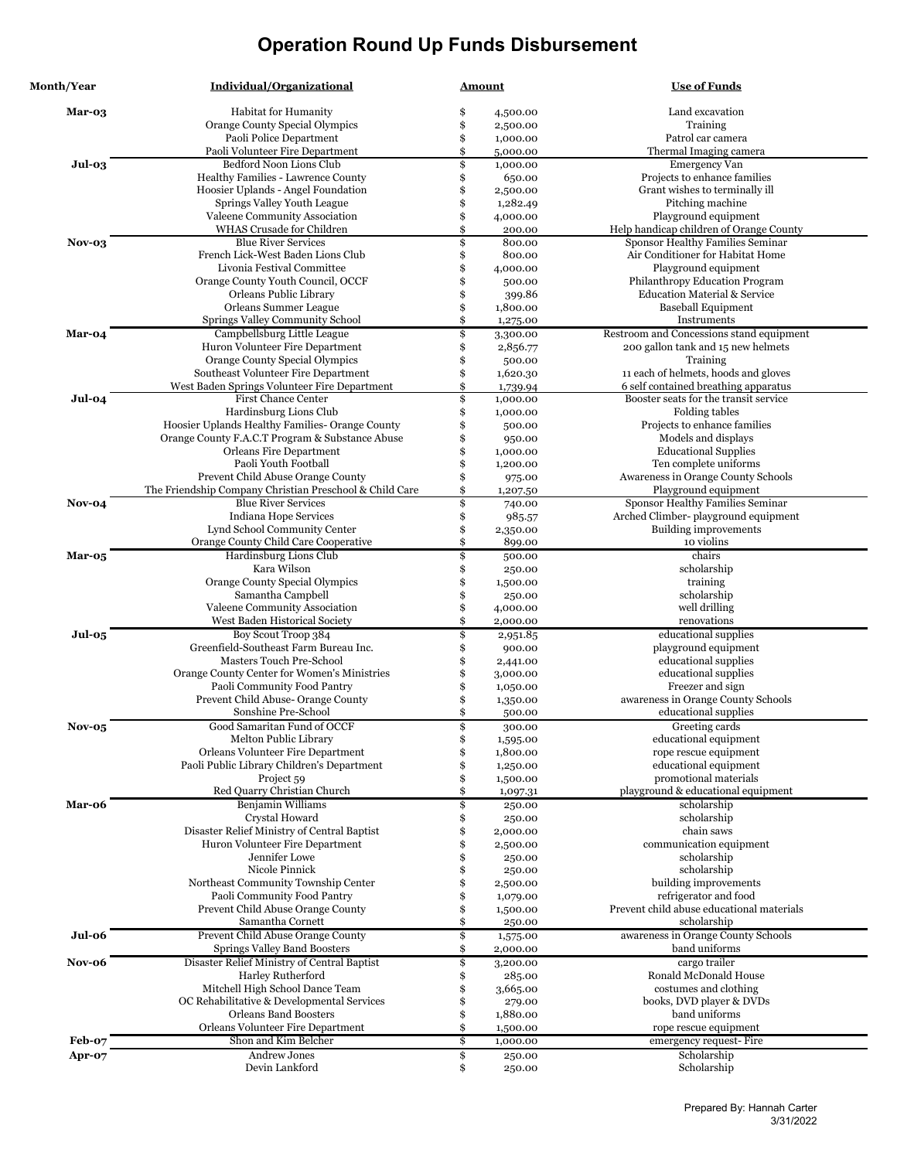| <b>Month/Year</b> | Individual/Organizational                               | <u>Amount</u>  | <b>Use of Funds</b>                       |
|-------------------|---------------------------------------------------------|----------------|-------------------------------------------|
| Mar-03            | Habitat for Humanity                                    | \$<br>4,500.00 | Land excavation                           |
|                   | Orange County Special Olympics                          | \$<br>2,500.00 | Training                                  |
|                   | Paoli Police Department                                 | \$<br>1,000.00 | Patrol car camera                         |
|                   | Paoli Volunteer Fire Department                         | \$<br>5,000.00 | Thermal Imaging camera                    |
| Jul-03            | <b>Bedford Noon Lions Club</b>                          | \$<br>1,000.00 | <b>Emergency Van</b>                      |
|                   | Healthy Families - Lawrence County                      | \$<br>650.00   | Projects to enhance families              |
|                   | Hoosier Uplands - Angel Foundation                      | \$<br>2,500.00 | Grant wishes to terminally ill            |
|                   | Springs Valley Youth League                             | \$<br>1,282.49 | Pitching machine                          |
|                   | Valeene Community Association                           | \$<br>4,000.00 | Playground equipment                      |
|                   | WHAS Crusade for Children                               | \$<br>200.00   | Help handicap children of Orange County   |
| $Nov-03$          | <b>Blue River Services</b>                              | \$<br>800.00   | Sponsor Healthy Families Seminar          |
|                   | French Lick-West Baden Lions Club                       | \$<br>800.00   | Air Conditioner for Habitat Home          |
|                   | Livonia Festival Committee                              | \$<br>4,000.00 | Playground equipment                      |
|                   | Orange County Youth Council, OCCF                       | \$<br>500.00   | Philanthropy Education Program            |
|                   | Orleans Public Library                                  | \$<br>399.86   | <b>Education Material &amp; Service</b>   |
|                   | Orleans Summer League                                   | \$<br>1,800.00 | <b>Baseball Equipment</b>                 |
|                   | Springs Valley Community School                         | \$<br>1,275.00 | Instruments                               |
| Mar-04            | Campbellsburg Little League                             | \$<br>3,300.00 | Restroom and Concessions stand equipment  |
|                   | Huron Volunteer Fire Department                         | \$<br>2,856.77 | 200 gallon tank and 15 new helmets        |
|                   | Orange County Special Olympics                          | \$<br>500.00   | Training                                  |
|                   | Southeast Volunteer Fire Department                     | \$<br>1,620.30 | 11 each of helmets, hoods and gloves      |
|                   | West Baden Springs Volunteer Fire Department            | \$<br>1,739.94 | 6 self contained breathing apparatus      |
| Jul-04            | First Chance Center                                     | \$<br>1,000.00 | Booster seats for the transit service     |
|                   | Hardinsburg Lions Club                                  | \$<br>1,000.00 | Folding tables                            |
|                   | Hoosier Uplands Healthy Families- Orange County         | \$<br>500.00   | Projects to enhance families              |
|                   | Orange County F.A.C.T Program & Substance Abuse         | \$<br>950.00   | Models and displays                       |
|                   | Orleans Fire Department                                 | \$<br>1,000.00 | <b>Educational Supplies</b>               |
|                   | Paoli Youth Football                                    | \$<br>1,200.00 | Ten complete uniforms                     |
|                   | Prevent Child Abuse Orange County                       | \$<br>975.00   | Awareness in Orange County Schools        |
|                   | The Friendship Company Christian Preschool & Child Care | \$<br>1,207.50 | Playground equipment                      |
| Nov-04            | <b>Blue River Services</b>                              | \$<br>740.00   | Sponsor Healthy Families Seminar          |
|                   | Indiana Hope Services                                   | \$<br>985.57   | Arched Climber-playground equipment       |
|                   | Lynd School Community Center                            | \$<br>2,350.00 | Building improvements                     |
|                   | Orange County Child Care Cooperative                    | \$<br>899.00   | 10 violins                                |
| Mar-05            | Hardinsburg Lions Club                                  | \$<br>500.00   | chairs                                    |
|                   | Kara Wilson                                             | \$<br>250.00   | scholarship                               |
|                   | Orange County Special Olympics                          | \$<br>1,500.00 | training                                  |
|                   | Samantha Campbell                                       | \$<br>250.00   | scholarship                               |
|                   | Valeene Community Association                           | \$<br>4,000.00 | well drilling                             |
|                   | West Baden Historical Society                           | \$<br>2,000.00 | renovations                               |
| $Jul-05$          | Boy Scout Troop 384                                     | \$<br>2,951.85 | educational supplies                      |
|                   | Greenfield-Southeast Farm Bureau Inc.                   | \$<br>900.00   | playground equipment                      |
|                   | Masters Touch Pre-School                                | 2,441.00       | educational supplies                      |
|                   | Orange County Center for Women's Ministries             | \$<br>3,000.00 | educational supplies                      |
|                   | Paoli Community Food Pantry                             | \$<br>1,050.00 | Freezer and sign                          |
|                   | Prevent Child Abuse- Orange County                      | 1,350.00       | awareness in Orange County Schools        |
|                   | Sonshine Pre-School                                     | \$<br>500.00   | educational supplies                      |
| Nov-05            | Good Samaritan Fund of OCCF                             | \$<br>300.00   | Greeting cards                            |
|                   | Melton Public Library                                   | \$<br>1,595.00 | educational equipment                     |
|                   | Orleans Volunteer Fire Department                       | \$<br>1,800.00 | rope rescue equipment                     |
|                   | Paoli Public Library Children's Department              | \$<br>1,250.00 | educational equipment                     |
|                   | Project 59                                              | 1,500.00       | promotional materials                     |
|                   | Red Quarry Christian Church                             | \$<br>1,097.31 | playground & educational equipment        |
| Mar-06            | Benjamin Williams                                       | \$<br>250.00   | scholarship                               |
|                   | Crystal Howard                                          | \$<br>250.00   | scholarship                               |
|                   | Disaster Relief Ministry of Central Baptist             | 2,000.00       | chain saws                                |
|                   | Huron Volunteer Fire Department                         | 2,500.00       | communication equipment                   |
|                   | Jennifer Lowe                                           | 250.00         | scholarship                               |
|                   | Nicole Pinnick                                          | 250.00         | scholarship                               |
|                   | Northeast Community Township Center                     | 2,500.00       | building improvements                     |
|                   | Paoli Community Food Pantry                             | 1,079.00       | refrigerator and food                     |
|                   | Prevent Child Abuse Orange County                       | 1,500.00       | Prevent child abuse educational materials |
|                   | Samantha Cornett                                        | \$<br>250.00   | scholarship                               |
| Jul-06            | Prevent Child Abuse Orange County                       | \$<br>1,575.00 | awareness in Orange County Schools        |
|                   | Springs Valley Band Boosters                            | \$<br>2,000.00 | band uniforms                             |
| Nov-06            | Disaster Relief Ministry of Central Baptist             | \$<br>3,200.00 | cargo trailer                             |
|                   | Harley Rutherford                                       | \$<br>285.00   | Ronald McDonald House                     |
|                   | Mitchell High School Dance Team                         | 3,665.00       | costumes and clothing                     |
|                   | OC Rehabilitative & Developmental Services              | \$<br>279.00   | books, DVD player & DVDs                  |
|                   | <b>Orleans Band Boosters</b>                            | \$<br>1,880.00 | band uniforms                             |
|                   | Orleans Volunteer Fire Department                       | \$<br>1,500.00 | rope rescue equipment                     |
| Feb-07            | Shon and Kim Belcher                                    | \$<br>1,000.00 | emergency request-Fire                    |
| Apr-07            | Andrew Jones                                            | \$<br>250.00   | Scholarship                               |
|                   | Devin Lankford                                          | \$<br>250.00   | Scholarship                               |
|                   |                                                         |                |                                           |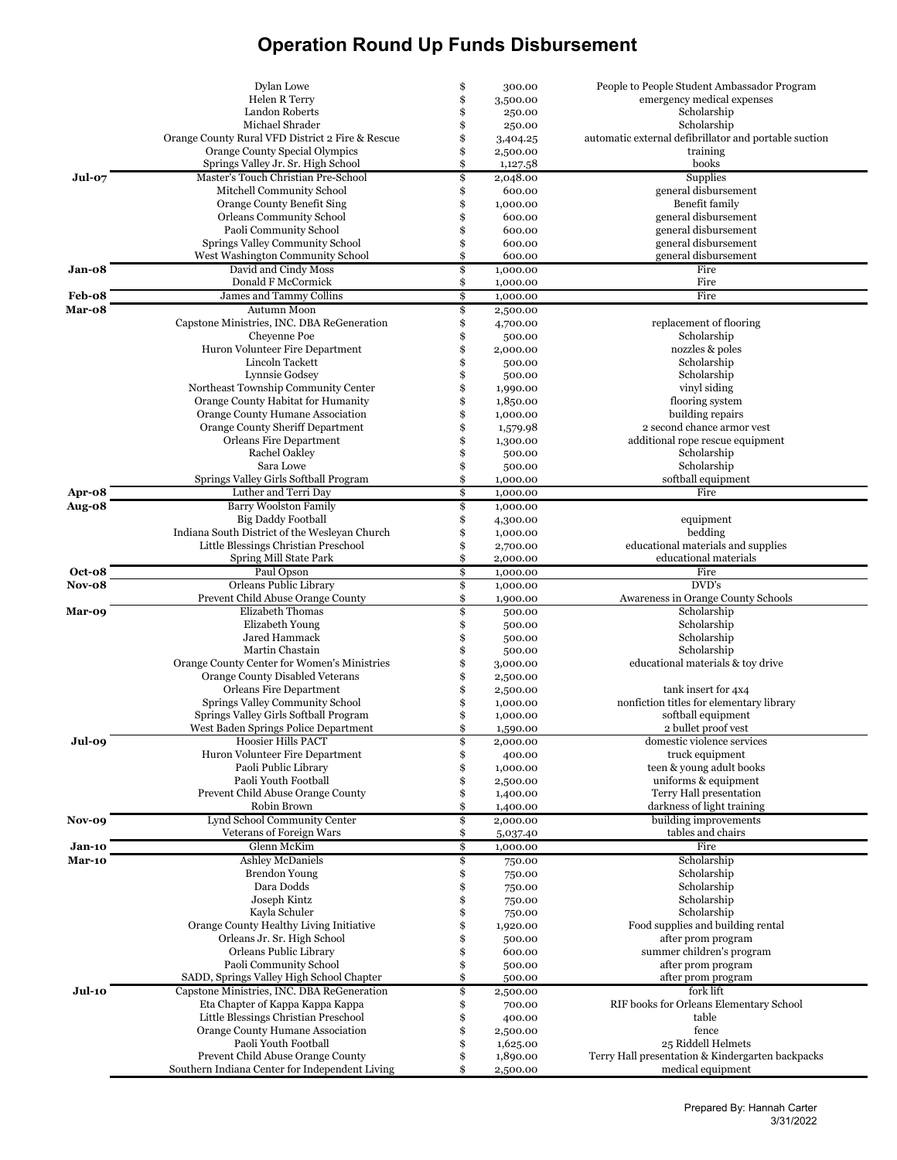|               | Dylan Lowe                                                           | \$       | 300.00               | People to People Student Ambassador Program           |
|---------------|----------------------------------------------------------------------|----------|----------------------|-------------------------------------------------------|
|               | Helen R Terry                                                        | \$       | 3,500.00             | emergency medical expenses                            |
|               | Landon Roberts                                                       | \$       | 250.00               | Scholarship                                           |
|               | Michael Shrader                                                      | \$       | 250.00               | Scholarship                                           |
|               | Orange County Rural VFD District 2 Fire & Rescue                     | \$       | 3,404.25             | automatic external defibrillator and portable suction |
|               | Orange County Special Olympics<br>Springs Valley Jr. Sr. High School | \$<br>\$ | 2,500.00             | training<br>books                                     |
| Jul-07        | Master's Touch Christian Pre-School                                  | \$       | 1,127.58<br>2,048.00 | Supplies                                              |
|               | Mitchell Community School                                            | \$       | 600.00               | general disbursement                                  |
|               | Orange County Benefit Sing                                           | \$       | 1,000.00             | Benefit family                                        |
|               | Orleans Community School                                             | \$       | 600.00               | general disbursement                                  |
|               | Paoli Community School                                               | \$       | 600.00               | general disbursement                                  |
|               | Springs Valley Community School                                      | \$       | 600.00               | general disbursement                                  |
|               | West Washington Community School                                     | \$       | 600.00               | general disbursement                                  |
| Jan-08        | David and Cindy Moss                                                 | \$       | 1,000.00             | Fire                                                  |
|               | Donald F McCormick                                                   | \$       | 1,000.00             | Fire                                                  |
| Feb-08        | James and Tammy Collins                                              | \$       | 1,000.00             | Fire                                                  |
| Mar-08        | Autumn Moon                                                          | \$       | 2,500.00             |                                                       |
|               | Capstone Ministries, INC. DBA ReGeneration                           | \$       | 4,700.00             | replacement of flooring                               |
|               | Cheyenne Poe                                                         | \$       | 500.00               | Scholarship                                           |
|               | Huron Volunteer Fire Department                                      | \$       | 2,000.00             | nozzles & poles                                       |
|               | Lincoln Tackett                                                      | \$       | 500.00               | Scholarship                                           |
|               | Lynnsie Godsey                                                       | \$       | 500.00               | Scholarship                                           |
|               | Northeast Township Community Center                                  | \$       | 1,990.00             | vinyl siding                                          |
|               | Orange County Habitat for Humanity                                   | \$       | 1,850.00             | flooring system                                       |
|               | Orange County Humane Association                                     | \$       | 1,000.00             | building repairs                                      |
|               | Orange County Sheriff Department                                     | \$       | 1,579.98             | 2 second chance armor vest                            |
|               | Orleans Fire Department                                              | \$       | 1,300.00             | additional rope rescue equipment                      |
|               | Rachel Oakley                                                        | \$       | 500.00               | Scholarship                                           |
|               | Sara Lowe                                                            | \$       | 500.00               | Scholarship                                           |
|               | Springs Valley Girls Softball Program                                | \$       | 1,000.00             | softball equipment                                    |
| Apr-08        | Luther and Terri Day                                                 | \$       | 1,000.00             | Fire                                                  |
| Aug-08        | <b>Barry Woolston Family</b>                                         | \$       | 1,000.00             |                                                       |
|               | <b>Big Daddy Football</b>                                            | \$       | 4,300.00             | equipment                                             |
|               | Indiana South District of the Wesleyan Church                        | \$       | 1,000.00             | bedding                                               |
|               | Little Blessings Christian Preschool                                 | \$       | 2,700.00             | educational materials and supplies                    |
|               | Spring Mill State Park                                               | \$       | 2,000.00             | educational materials                                 |
| Oct-08        | Paul Opson                                                           | \$       | 1,000.00             | Fire<br>$\overline{\mathrm{DVD}}$ 's                  |
| Nov-08        | Orleans Public Library                                               | \$       | 1,000.00             |                                                       |
|               | Prevent Child Abuse Orange County<br>Elizabeth Thomas                | \$<br>\$ | 1,900.00             | Awareness in Orange County Schools<br>Scholarship     |
| Mar-09        | Elizabeth Young                                                      | \$       | 500.00<br>500.00     | Scholarship                                           |
|               | Jared Hammack                                                        | \$       | 500.00               | Scholarship                                           |
|               | Martin Chastain                                                      | \$       | 500.00               | Scholarship                                           |
|               | Orange County Center for Women's Ministries                          | \$       | 3,000.00             | educational materials & toy drive                     |
|               | Orange County Disabled Veterans                                      | \$       | 2,500.00             |                                                       |
|               | Orleans Fire Department                                              | \$       | 2,500.00             | tank insert for 4x4                                   |
|               | Springs Valley Community School                                      | \$       | 1,000.00             | nonfiction titles for elementary library              |
|               | Springs Valley Girls Softball Program                                | \$       | 1,000.00             | softball equipment                                    |
|               | West Baden Springs Police Department                                 | \$       | 1,590.00             | 2 bullet proof vest                                   |
| Jul-09        | Hoosier Hills PACT                                                   | \$       | 2,000.00             | domestic violence services                            |
|               | Huron Volunteer Fire Department                                      | \$       | 400.00               | truck equipment                                       |
|               | Paoli Public Library                                                 | \$       | 1,000.00             | teen & young adult books                              |
|               | Paoli Youth Football                                                 | \$       | 2,500.00             | uniforms & equipment                                  |
|               | Prevent Child Abuse Orange County                                    | \$       | 1,400.00             | Terry Hall presentation                               |
|               | Robin Brown                                                          | \$       | 1,400.00             | darkness of light training                            |
| Nov-09        | Lynd School Community Center                                         | \$       | 2,000.00             | building improvements                                 |
|               | Veterans of Foreign Wars                                             | \$       | 5,037.40             | tables and chairs                                     |
| Jan-10        | Glenn McKim                                                          | \$       | 1,000.00             | Fire                                                  |
| <b>Mar-10</b> | <b>Ashley McDaniels</b>                                              | \$       | 750.00               | Scholarship                                           |
|               | <b>Brendon Young</b>                                                 | \$       | 750.00               | Scholarship                                           |
|               | Dara Dodds                                                           | \$       | 750.00               | Scholarship                                           |
|               | Joseph Kintz                                                         | \$       | 750.00               | Scholarship                                           |
|               | Kayla Schuler                                                        | \$       | 750.00               | Scholarship                                           |
|               | Orange County Healthy Living Initiative                              | \$       | 1,920.00             | Food supplies and building rental                     |
|               | Orleans Jr. Sr. High School<br>Orleans Public Library                | \$<br>\$ | 500.00<br>600.00     | after prom program<br>summer children's program       |
|               | Paoli Community School                                               |          |                      | after prom program                                    |
|               | SADD, Springs Valley High School Chapter                             | \$<br>\$ | 500.00<br>500.00     | after prom program                                    |
| Jul-10        | Capstone Ministries, INC. DBA ReGeneration                           | \$       |                      | fork lift                                             |
|               | Eta Chapter of Kappa Kappa Kappa                                     | \$       | 2,500.00<br>700.00   | RIF books for Orleans Elementary School               |
|               | Little Blessings Christian Preschool                                 | \$       | 400.00               | table                                                 |
|               | Orange County Humane Association                                     | \$       | 2,500.00             | fence                                                 |
|               | Paoli Youth Football                                                 | \$       | 1,625.00             | 25 Riddell Helmets                                    |
|               | Prevent Child Abuse Orange County                                    | \$       | 1,890.00             | Terry Hall presentation & Kindergarten backpacks      |
|               | Southern Indiana Center for Independent Living                       | \$       | 2,500.00             | medical equipment                                     |
|               |                                                                      |          |                      |                                                       |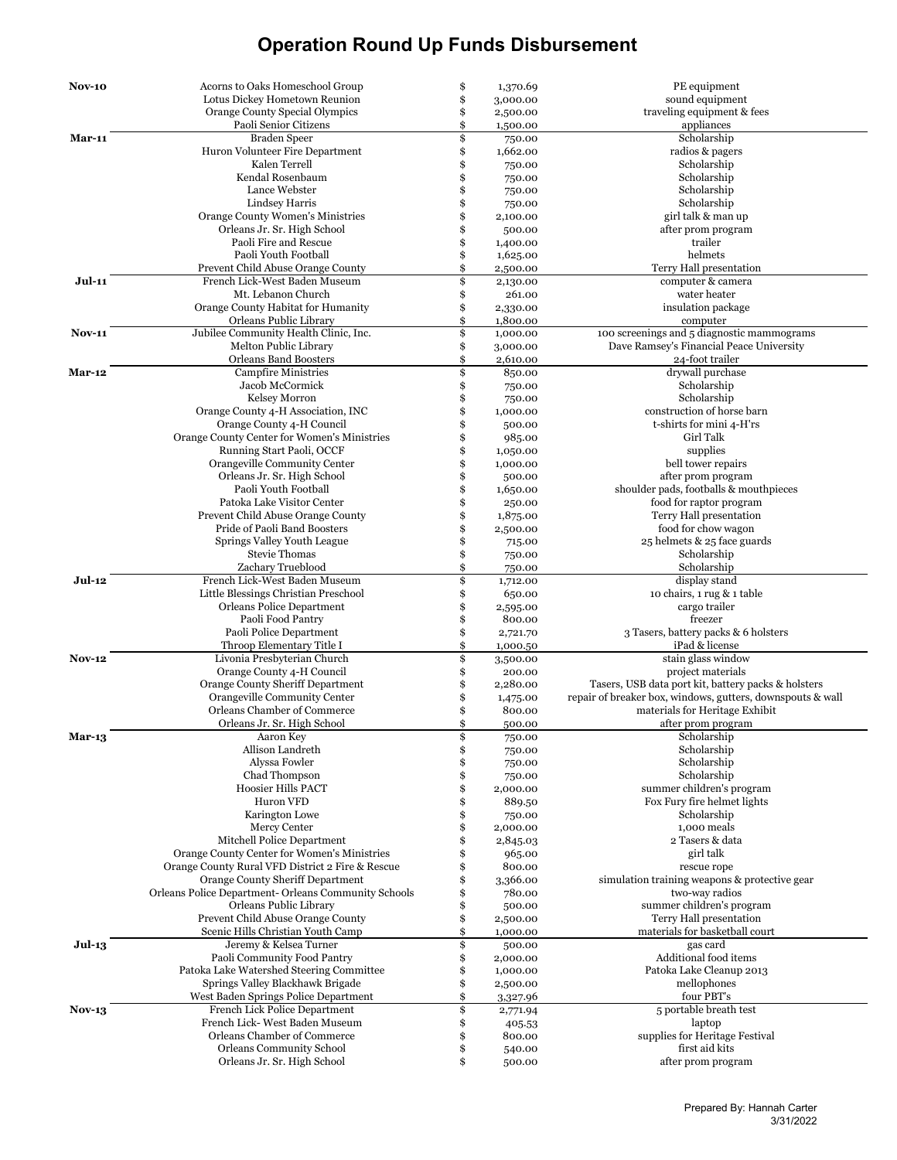| <b>Nov-10</b> | Acorns to Oaks Homeschool Group                                           | \$       | 1,370.69             | PE equipment                                               |
|---------------|---------------------------------------------------------------------------|----------|----------------------|------------------------------------------------------------|
|               | Lotus Dickey Hometown Reunion                                             | \$       | 3,000.00             | sound equipment                                            |
|               | Orange County Special Olympics                                            | \$       | 2,500.00             | traveling equipment & fees                                 |
|               | Paoli Senior Citizens                                                     | \$       | 1,500.00             | appliances                                                 |
| <b>Mar-11</b> | <b>Braden Speer</b>                                                       | \$       | 750.00               | Scholarship                                                |
|               | Huron Volunteer Fire Department                                           | \$       | 1,662.00             | radios & pagers                                            |
|               | Kalen Terrell                                                             | \$       | 750.00               | Scholarship                                                |
|               | Kendal Rosenbaum                                                          | \$       | 750.00               | Scholarship                                                |
|               | Lance Webster                                                             | \$       | 750.00               | Scholarship                                                |
|               | Lindsey Harris                                                            | \$       | 750.00               | Scholarship                                                |
|               | Orange County Women's Ministries                                          | \$       | 2,100.00             | girl talk & man up                                         |
|               | Orleans Jr. Sr. High School                                               | \$       | 500.00               | after prom program                                         |
|               | Paoli Fire and Rescue                                                     | \$       | 1,400.00             | trailer                                                    |
|               | Paoli Youth Football                                                      | \$<br>\$ | 1,625.00             | helmets                                                    |
| Jul-11        | Prevent Child Abuse Orange County<br>French Lick-West Baden Museum        | \$       | 2,500.00<br>2,130.00 | Terry Hall presentation<br>computer & camera               |
|               | Mt. Lebanon Church                                                        | \$       | 261.00               | water heater                                               |
|               | Orange County Habitat for Humanity                                        | \$       | 2,330.00             | insulation package                                         |
|               | Orleans Public Library                                                    | \$       | 1,800.00             | computer                                                   |
| <b>Nov-11</b> | Jubilee Community Health Clinic, Inc.                                     | \$       | 1,000.00             | 100 screenings and 5 diagnostic mammograms                 |
|               | Melton Public Library                                                     | \$       | 3,000.00             | Dave Ramsey's Financial Peace University                   |
|               | <b>Orleans Band Boosters</b>                                              | \$       | 2,610.00             | 24-foot trailer                                            |
| <b>Mar-12</b> | <b>Campfire Ministries</b>                                                | \$       | 850.00               | drywall purchase                                           |
|               | Jacob McCormick                                                           | \$       | 750.00               | Scholarship                                                |
|               | Kelsey Morron                                                             | \$       | 750.00               | Scholarship                                                |
|               | Orange County 4-H Association, INC                                        | \$       | 1,000.00             | construction of horse barn                                 |
|               | Orange County 4-H Council                                                 | \$       | 500.00               | t-shirts for mini 4-H'rs                                   |
|               | Orange County Center for Women's Ministries                               | \$       | 985.00               | Girl Talk                                                  |
|               | Running Start Paoli, OCCF                                                 | \$       | 1,050.00             | supplies                                                   |
|               | Orangeville Community Center                                              | \$       | 1,000.00             | bell tower repairs                                         |
|               | Orleans Jr. Sr. High School                                               | \$       | 500.00               | after prom program                                         |
|               | Paoli Youth Football                                                      | \$       | 1,650.00             | shoulder pads, footballs & mouthpieces                     |
|               | Patoka Lake Visitor Center                                                | \$       | 250.00               | food for raptor program                                    |
|               | Prevent Child Abuse Orange County                                         | \$<br>\$ | 1,875.00             | Terry Hall presentation                                    |
|               | Pride of Paoli Band Boosters                                              |          | 2,500.00             | food for chow wagon                                        |
|               | Springs Valley Youth League                                               | \$       | 715.00               | 25 helmets & 25 face guards                                |
|               | Stevie Thomas                                                             | \$<br>\$ | 750.00               | Scholarship                                                |
| Jul-12        | Zachary Trueblood<br>French Lick-West Baden Museum                        | \$       | 750.00               | Scholarship<br>display stand                               |
|               | Little Blessings Christian Preschool                                      | \$       | 1,712.00<br>650.00   | 10 chairs, 1 rug & 1 table                                 |
|               | Orleans Police Department                                                 | \$       | 2,595.00             | cargo trailer                                              |
|               | Paoli Food Pantry                                                         | \$       | 800.00               | freezer                                                    |
|               | Paoli Police Department                                                   | \$       | 2,721.70             | 3 Tasers, battery packs & 6 holsters                       |
|               | Throop Elementary Title I                                                 | \$       | 1,000.50             | iPad & license                                             |
| <b>Nov-12</b> | Livonia Presbyterian Church                                               | \$       | 3,500.00             | stain glass window                                         |
|               | Orange County 4-H Council                                                 | \$       | 200.00               | project materials                                          |
|               | <b>Orange County Sheriff Department</b>                                   | \$       | 2,280.00             | Tasers, USB data port kit, battery packs & holsters        |
|               | Orangeville Community Center                                              | \$       | 1,475.00             | repair of breaker box, windows, gutters, downspouts & wall |
|               | Orleans Chamber of Commerce                                               | \$       | 800.00               | materials for Heritage Exhibit                             |
|               | Orleans Jr. Sr. High School                                               | \$       | 500.00               | after prom program                                         |
| Mar-13        | Aaron Key                                                                 | \$       | 750.00               | Scholarship                                                |
|               | Allison Landreth                                                          | \$       | 750.00               | Scholarship                                                |
|               | Alyssa Fowler                                                             | \$       | 750.00               | Scholarship                                                |
|               | Chad Thompson                                                             | \$       | 750.00               | Scholarship                                                |
|               | Hoosier Hills PACT                                                        | \$       | 2,000.00             | summer children's program                                  |
|               | Huron VFD                                                                 | \$       | 889.50               | Fox Fury fire helmet lights                                |
|               | Karington Lowe                                                            | \$       | 750.00               | Scholarship                                                |
|               | Mercy Center                                                              | \$       | 2,000.00             | 1,000 meals                                                |
|               | Mitchell Police Department<br>Orange County Center for Women's Ministries | \$<br>\$ | 2,845.03             | 2 Tasers & data<br>girl talk                               |
|               | Orange County Rural VFD District 2 Fire & Rescue                          | \$       | 965.00<br>800.00     | rescue rope                                                |
|               | <b>Orange County Sheriff Department</b>                                   | \$       | 3,366.00             | simulation training weapons & protective gear              |
|               | Orleans Police Department- Orleans Community Schools                      | \$       | 780.00               | two-way radios                                             |
|               | Orleans Public Library                                                    | \$       | 500.00               | summer children's program                                  |
|               | Prevent Child Abuse Orange County                                         | \$       | 2,500.00             | Terry Hall presentation                                    |
|               | Scenic Hills Christian Youth Camp                                         | \$       | 1,000.00             | materials for basketball court                             |
| <b>Jul-13</b> | Jeremy & Kelsea Turner                                                    | \$       | 500.00               | gas card                                                   |
|               | Paoli Community Food Pantry                                               | \$       | 2,000.00             | Additional food items                                      |
|               | Patoka Lake Watershed Steering Committee                                  | \$       | 1,000.00             | Patoka Lake Cleanup 2013                                   |
|               | Springs Valley Blackhawk Brigade                                          | \$       | 2,500.00             | mellophones                                                |
|               | West Baden Springs Police Department                                      | \$       | 3,327.96             | four PBT's                                                 |
| $Nov-13$      | French Lick Police Department                                             | \$       | 2,771.94             | 5 portable breath test                                     |
|               | French Lick-West Baden Museum                                             | \$       | 405.53               | laptop                                                     |
|               | Orleans Chamber of Commerce                                               | \$       | 800.00               | supplies for Heritage Festival                             |
|               | <b>Orleans Community School</b>                                           | \$       | 540.00               | first aid kits                                             |
|               | Orleans Jr. Sr. High School                                               | \$       | 500.00               | after prom program                                         |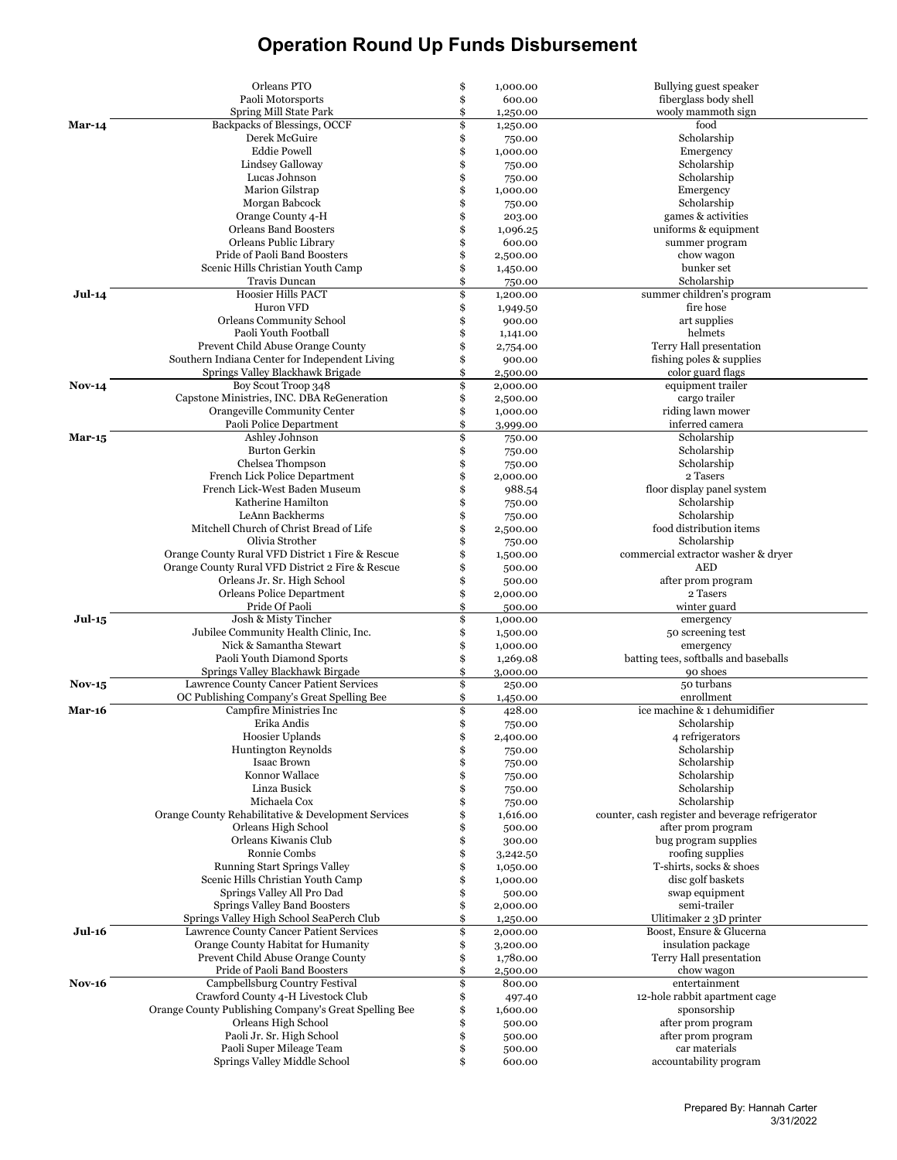|               | Orleans PTO                                                                           | \$       | 1,000.00             | Bullying guest speaker                                                 |
|---------------|---------------------------------------------------------------------------------------|----------|----------------------|------------------------------------------------------------------------|
|               | Paoli Motorsports                                                                     | \$       | 600.00               | fiberglass body shell                                                  |
|               | Spring Mill State Park                                                                | \$       | 1,250.00             | wooly mammoth sign                                                     |
| <b>Mar-14</b> | Backpacks of Blessings, OCCF<br>Derek McGuire                                         | \$       | 1,250.00             | food                                                                   |
|               | <b>Eddie Powell</b>                                                                   | \$<br>\$ | 750.00<br>1,000.00   | Scholarship<br>Emergency                                               |
|               | Lindsey Galloway                                                                      | \$       | 750.00               | Scholarship                                                            |
|               | Lucas Johnson                                                                         | \$       | 750.00               | Scholarship                                                            |
|               | Marion Gilstrap                                                                       | \$       | 1,000.00             | Emergency                                                              |
|               | Morgan Babcock                                                                        | \$       | 750.00               | Scholarship                                                            |
|               | Orange County 4-H                                                                     | \$       | 203.00               | games & activities                                                     |
|               | Orleans Band Boosters                                                                 | \$       | 1,096.25             | uniforms & equipment                                                   |
|               | Orleans Public Library                                                                | \$       | 600.00               | summer program                                                         |
|               | Pride of Paoli Band Boosters                                                          | \$       | 2,500.00             | chow wagon                                                             |
|               | Scenic Hills Christian Youth Camp<br>Travis Duncan                                    | \$<br>\$ | 1,450.00             | bunker set<br>Scholarship                                              |
| Jul-14        | <b>Hoosier Hills PACT</b>                                                             | \$       | 750.00<br>1,200.00   | summer children's program                                              |
|               | Huron VFD                                                                             | \$       | 1,949.50             | fire hose                                                              |
|               | Orleans Community School                                                              | \$       | 900.00               | art supplies                                                           |
|               | Paoli Youth Football                                                                  | \$       | 1,141.00             | helmets                                                                |
|               | Prevent Child Abuse Orange County                                                     | \$       | 2,754.00             | Terry Hall presentation                                                |
|               | Southern Indiana Center for Independent Living                                        | \$       | 900.00               | fishing poles & supplies                                               |
|               | Springs Valley Blackhawk Brigade                                                      | \$       | 2,500.00             | color guard flags                                                      |
| $Nov-14$      | Boy Scout Troop 348                                                                   | \$       | 2,000.00             | equipment trailer                                                      |
|               | Capstone Ministries, INC. DBA ReGeneration                                            | \$       | 2,500.00             | cargo trailer                                                          |
|               | Orangeville Community Center                                                          | \$       | 1,000.00             | riding lawn mower                                                      |
|               | Paoli Police Department<br>Ashley Johnson                                             | \$<br>\$ | 3,999.00             | inferred camera<br>Scholarship                                         |
| <b>Mar-15</b> | Burton Gerkin                                                                         | \$       | 750.00<br>750.00     | Scholarship                                                            |
|               | Chelsea Thompson                                                                      | \$       | 750.00               | Scholarship                                                            |
|               | French Lick Police Department                                                         | \$       | 2,000.00             | 2 Tasers                                                               |
|               | French Lick-West Baden Museum                                                         | \$       | 988.54               | floor display panel system                                             |
|               | Katherine Hamilton                                                                    | \$       | 750.00               | Scholarship                                                            |
|               | LeAnn Backherms                                                                       |          | 750.00               | Scholarship                                                            |
|               | Mitchell Church of Christ Bread of Life                                               | \$       | 2,500.00             | food distribution items                                                |
|               | Olivia Strother                                                                       |          | 750.00               | Scholarship                                                            |
|               | Orange County Rural VFD District 1 Fire & Rescue                                      |          | 1,500.00             | commercial extractor washer & dryer                                    |
|               | Orange County Rural VFD District 2 Fire & Rescue                                      | \$       | 500.00               | <b>AED</b>                                                             |
|               | Orleans Jr. Sr. High School<br>Orleans Police Department                              | \$<br>\$ | 500.00<br>2,000.00   | after prom program<br>2 Tasers                                         |
|               | Pride Of Paoli                                                                        | \$       | 500.00               | winter guard                                                           |
| <b>Jul-15</b> | Josh & Misty Tincher                                                                  | \$       | 1,000.00             | emergency                                                              |
|               | Jubilee Community Health Clinic, Inc.                                                 | \$       | 1,500.00             | 50 screening test                                                      |
|               | Nick & Samantha Stewart                                                               | \$       | 1,000.00             | emergency                                                              |
|               | Paoli Youth Diamond Sports                                                            | \$       | 1,269.08             | batting tees, softballs and baseballs                                  |
|               | Springs Valley Blackhawk Birgade                                                      | \$       | 3,000.00             | 90 shoes                                                               |
| $Nov-15$      | Lawrence County Cancer Patient Services<br>OC Publishing Company's Great Spelling Bee | \$<br>\$ | 250.00<br>1,450.00   | 50 turbans<br>enrollment                                               |
| <b>Mar-16</b> | Campfire Ministries Inc                                                               | \$       | 428.00               | ice machine & 1 dehumidifier                                           |
|               | Erika Andis                                                                           | \$       | 750.00               | Scholarship                                                            |
|               | Hoosier Uplands                                                                       | \$       | 2,400.00             | 4 refrigerators                                                        |
|               | <b>Huntington Reynolds</b>                                                            | \$       | 750.00               | Scholarship                                                            |
|               | <b>Isaac Brown</b>                                                                    | \$       | 750.00               | Scholarship                                                            |
|               | Konnor Wallace                                                                        | \$       | 750.00               | Scholarship                                                            |
|               | Linza Busick                                                                          | \$       | 750.00               | Scholarship                                                            |
|               | Michaela Cox<br>Orange County Rehabilitative & Development Services                   | \$       | 750.00               | Scholarship                                                            |
|               | Orleans High School                                                                   | \$<br>\$ | 1,616.00<br>500.00   | counter, cash register and beverage refrigerator<br>after prom program |
|               | Orleans Kiwanis Club                                                                  | \$       | 300.00               | bug program supplies                                                   |
|               | Ronnie Combs                                                                          | \$       | 3,242.50             | roofing supplies                                                       |
|               | <b>Running Start Springs Valley</b>                                                   | \$       | 1,050.00             | T-shirts, socks & shoes                                                |
|               | Scenic Hills Christian Youth Camp                                                     | \$       | 1,000.00             | disc golf baskets                                                      |
|               | Springs Valley All Pro Dad                                                            | \$       | 500.00               | swap equipment                                                         |
|               | Springs Valley Band Boosters                                                          | \$       | 2,000.00             | semi-trailer                                                           |
|               | Springs Valley High School SeaPerch Club                                              | \$       | 1,250.00             | Ulitimaker 2 3D printer                                                |
| <b>Jul-16</b> | Lawrence County Cancer Patient Services<br>Orange County Habitat for Humanity         | \$       | 2,000.00             | Boost, Ensure & Glucerna<br>insulation package                         |
|               | Prevent Child Abuse Orange County                                                     | \$<br>\$ | 3,200.00<br>1,780.00 | Terry Hall presentation                                                |
|               | Pride of Paoli Band Boosters                                                          | \$       | 2,500.00             | chow wagon                                                             |
| <b>Nov-16</b> | Campbellsburg Country Festival                                                        | \$       | 800.00               | entertainment                                                          |
|               | Crawford County 4-H Livestock Club                                                    | \$       | 497.40               | 12-hole rabbit apartment cage                                          |
|               | Orange County Publishing Company's Great Spelling Bee                                 | \$       | 1,600.00             | sponsorship                                                            |
|               | Orleans High School                                                                   | \$       | 500.00               | after prom program                                                     |
|               | Paoli Jr. Sr. High School                                                             | \$       | 500.00               | after prom program                                                     |
|               | Paoli Super Mileage Team                                                              | \$       | 500.00               | car materials                                                          |
|               | Springs Valley Middle School                                                          | \$       | 600.00               | accountability program                                                 |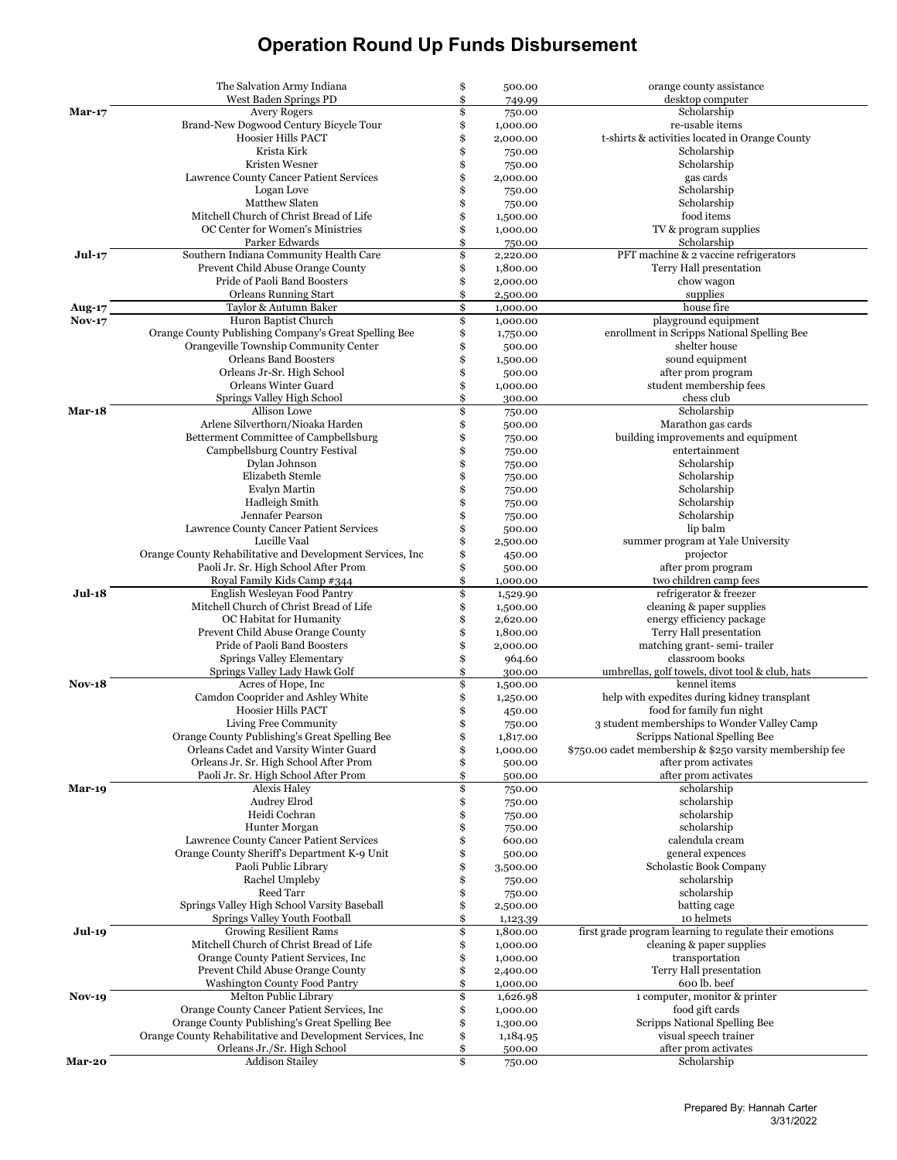|               | The Salvation Army Indiana                                                                                   | \$       | 500.00               | orange county assistance                                          |
|---------------|--------------------------------------------------------------------------------------------------------------|----------|----------------------|-------------------------------------------------------------------|
|               | West Baden Springs PD                                                                                        | \$       | 749.99               | desktop computer                                                  |
| $Mar-17$      | <b>Avery Rogers</b>                                                                                          | \$       | 750.00               | Scholarship                                                       |
|               | Brand-New Dogwood Century Bicycle Tour<br><b>Hoosier Hills PACT</b>                                          | \$<br>\$ | 1,000.00<br>2,000.00 | re-usable items<br>t-shirts & activities located in Orange County |
|               | Krista Kirk                                                                                                  | \$       | 750.00               | Scholarship                                                       |
|               | Kristen Wesner                                                                                               | \$       | 750.00               | Scholarship                                                       |
|               | Lawrence County Cancer Patient Services                                                                      | \$       | 2,000.00             | gas cards                                                         |
|               | Logan Love                                                                                                   | \$       | 750.00               | Scholarship                                                       |
|               | Matthew Slaten                                                                                               | \$       | 750.00               | Scholarship                                                       |
|               | Mitchell Church of Christ Bread of Life                                                                      | \$       | 1,500.00             | food items                                                        |
|               | OC Center for Women's Ministries                                                                             | \$       | 1,000.00             | TV & program supplies                                             |
|               | Parker Edwards                                                                                               | \$       | 750.00               | Scholarship                                                       |
| Jul-17        | Southern Indiana Community Health Care                                                                       | \$       | 2,220.00             | PFT machine & 2 vaccine refrigerators                             |
|               | Prevent Child Abuse Orange County<br>Pride of Paoli Band Boosters                                            | \$<br>\$ | 1,800.00<br>2,000.00 | Terry Hall presentation<br>chow wagon                             |
|               | <b>Orleans Running Start</b>                                                                                 | \$       | 2,500.00             | supplies                                                          |
| <b>Aug-17</b> | Taylor & Autumn Baker                                                                                        | \$       | 1,000.00             | house fire                                                        |
| <b>Nov-17</b> | Huron Baptist Church                                                                                         | \$       | 1,000.00             | playground equipment                                              |
|               | Orange County Publishing Company's Great Spelling Bee                                                        | \$       | 1,750.00             | enrollment in Scripps National Spelling Bee                       |
|               | Orangeville Township Community Center                                                                        | \$       | 500.00               | shelter house                                                     |
|               | <b>Orleans Band Boosters</b>                                                                                 | \$       | 1,500.00             | sound equipment                                                   |
|               | Orleans Jr-Sr. High School                                                                                   | \$       | 500.00               | after prom program                                                |
|               | Orleans Winter Guard                                                                                         | \$       | 1,000.00             | student membership fees                                           |
| Mar-18        | Springs Valley High School<br>Allison Lowe                                                                   | \$       | 300.00               | chess club<br>Scholarship                                         |
|               | Arlene Silverthorn/Nioaka Harden                                                                             |          | 750.00<br>500.00     | Marathon gas cards                                                |
|               | Betterment Committee of Campbellsburg                                                                        | \$       | 750.00               | building improvements and equipment                               |
|               | Campbellsburg Country Festival                                                                               |          | 750.00               | entertainment                                                     |
|               | Dylan Johnson                                                                                                |          | 750.00               | Scholarship                                                       |
|               | Elizabeth Stemle                                                                                             |          | 750.00               | Scholarship                                                       |
|               | <b>Evalyn Martin</b>                                                                                         | \$       | 750.00               | Scholarship                                                       |
|               | Hadleigh Smith                                                                                               | \$       | 750.00               | Scholarship                                                       |
|               | Jennafer Pearson                                                                                             | \$       | 750.00               | Scholarship                                                       |
|               | Lawrence County Cancer Patient Services<br>Lucille Vaal                                                      | \$       | 500.00               | lip balm                                                          |
|               | Orange County Rehabilitative and Development Services, Inc                                                   | \$<br>\$ | 2,500.00<br>450.00   | summer program at Yale University<br>projector                    |
|               | Paoli Jr. Sr. High School After Prom                                                                         | \$       | 500.00               | after prom program                                                |
|               | Royal Family Kids Camp #344                                                                                  | \$       | 1,000.00             | two children camp fees                                            |
| <b>Jul-18</b> | English Wesleyan Food Pantry                                                                                 | \$       | 1,529.90             | refrigerator & freezer                                            |
|               | Mitchell Church of Christ Bread of Life                                                                      | \$       | 1,500.00             | cleaning & paper supplies                                         |
|               | OC Habitat for Humanity                                                                                      | \$       | 2,620.00             | energy efficiency package                                         |
|               | Prevent Child Abuse Orange County<br>Pride of Paoli Band Boosters                                            | \$       | 1,800.00             | Terry Hall presentation                                           |
|               | Springs Valley Elementary                                                                                    | \$<br>\$ | 2,000.00<br>964.60   | matching grant-semi-trailer<br>classroom books                    |
|               | Springs Valley Lady Hawk Golf                                                                                | \$       | 300.00               | umbrellas, golf towels, divot tool & club, hats                   |
| <b>Nov-18</b> | Acres of Hope, Inc.                                                                                          | \$       | 1,500.00             | kennel items                                                      |
|               | Camdon Cooprider and Ashley White                                                                            |          | 1,250.00             | help with expedites during kidney transplant                      |
|               | <b>Hoosier Hills PACT</b>                                                                                    |          | 450.00               | food for family fun night                                         |
|               | Living Free Community                                                                                        | \$       | 750.00               | 3 student memberships to Wonder Valley Camp                       |
|               | Orange County Publishing's Great Spelling Bee                                                                |          | 1,817.00             | Scripps National Spelling Bee                                     |
|               | Orleans Cadet and Varsity Winter Guard                                                                       | \$       | 1,000.00             | \$750.00 cadet membership & \$250 varsity membership fee          |
|               | Orleans Jr. Sr. High School After Prom                                                                       | \$<br>\$ | 500.00               | after prom activates<br>after prom activates                      |
| Mar-19        | Paoli Jr. Sr. High School After Prom<br>Alexis Haley                                                         | \$       | 500.00<br>750.00     | scholarship                                                       |
|               | Audrey Elrod                                                                                                 | \$       | 750.00               | scholarship                                                       |
|               | Heidi Cochran                                                                                                | \$       | 750.00               | scholarship                                                       |
|               | Hunter Morgan                                                                                                | \$       | 750.00               | scholarship                                                       |
|               | Lawrence County Cancer Patient Services                                                                      | \$       | 600.00               | calendula cream                                                   |
|               | Orange County Sheriff's Department K-9 Unit                                                                  |          | 500.00               | general expences                                                  |
|               | Paoli Public Library                                                                                         |          | 3,500.00             | Scholastic Book Company                                           |
|               | Rachel Umpleby                                                                                               | \$       | 750.00               | scholarship                                                       |
|               | Reed Tarr<br>Springs Valley High School Varsity Baseball                                                     | \$       | 750.00               | scholarship                                                       |
|               | Springs Valley Youth Football                                                                                | \$<br>\$ | 2,500.00<br>1,123.39 | batting cage<br>10 helmets                                        |
| <b>Jul-19</b> | <b>Growing Resilient Rams</b>                                                                                | \$       | 1,800.00             | first grade program learning to regulate their emotions           |
|               | Mitchell Church of Christ Bread of Life                                                                      | \$       | 1,000.00             | cleaning & paper supplies                                         |
|               | Orange County Patient Services, Inc.                                                                         | \$       | 1,000.00             | transportation                                                    |
|               | Prevent Child Abuse Orange County                                                                            | \$       | 2,400.00             | Terry Hall presentation                                           |
|               | <b>Washington County Food Pantry</b>                                                                         | \$       | 1,000.00             | 600 lb. beef                                                      |
| <b>Nov-19</b> | Melton Public Library                                                                                        | \$       | 1,626.98             | 1 computer, monitor & printer                                     |
|               | Orange County Cancer Patient Services, Inc.                                                                  |          | 1,000.00             | food gift cards                                                   |
|               | Orange County Publishing's Great Spelling Bee<br>Orange County Rehabilitative and Development Services, Inc. | \$<br>\$ | 1,300.00<br>1,184.95 | Scripps National Spelling Bee<br>visual speech trainer            |
|               | Orleans Jr./Sr. High School                                                                                  | \$       | 500.00               | after prom activates                                              |
| Mar-20        | <b>Addison Stailey</b>                                                                                       | \$       | 750.00               | Scholarship                                                       |